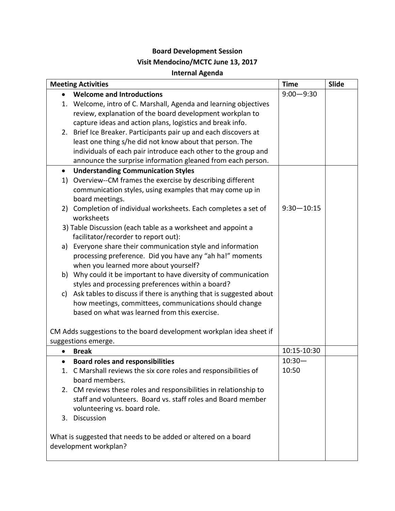## **Board Development Session**

## **Visit Mendocino/MCTC June 13, 2017**

## **Internal Agenda**

| <b>Meeting Activities</b> |                                                                       | <b>Time</b>    | Slide |
|---------------------------|-----------------------------------------------------------------------|----------------|-------|
|                           | <b>Welcome and Introductions</b>                                      | $9:00 - 9:30$  |       |
|                           | 1. Welcome, intro of C. Marshall, Agenda and learning objectives      |                |       |
|                           | review, explanation of the board development workplan to              |                |       |
|                           | capture ideas and action plans, logistics and break info.             |                |       |
|                           | 2. Brief Ice Breaker. Participants pair up and each discovers at      |                |       |
|                           | least one thing s/he did not know about that person. The              |                |       |
|                           | individuals of each pair introduce each other to the group and        |                |       |
|                           | announce the surprise information gleaned from each person.           |                |       |
| $\bullet$                 | <b>Understanding Communication Styles</b>                             |                |       |
|                           | 1) Overview--CM frames the exercise by describing different           |                |       |
|                           | communication styles, using examples that may come up in              |                |       |
|                           | board meetings.                                                       |                |       |
|                           | 2) Completion of individual worksheets. Each completes a set of       | $9:30 - 10:15$ |       |
|                           | worksheets                                                            |                |       |
|                           | 3) Table Discussion (each table as a worksheet and appoint a          |                |       |
|                           | facilitator/recorder to report out):                                  |                |       |
|                           | a) Everyone share their communication style and information           |                |       |
|                           | processing preference. Did you have any "ah ha!" moments              |                |       |
|                           | when you learned more about yourself?                                 |                |       |
|                           | b) Why could it be important to have diversity of communication       |                |       |
|                           | styles and processing preferences within a board?                     |                |       |
|                           | c) Ask tables to discuss if there is anything that is suggested about |                |       |
|                           | how meetings, committees, communications should change                |                |       |
|                           | based on what was learned from this exercise.                         |                |       |
|                           |                                                                       |                |       |
|                           | CM Adds suggestions to the board development workplan idea sheet if   |                |       |
|                           | suggestions emerge.                                                   |                |       |
|                           | <b>Break</b>                                                          | 10:15-10:30    |       |
| $\bullet$                 | <b>Board roles and responsibilities</b>                               | $10:30 -$      |       |
|                           | 1. C Marshall reviews the six core roles and responsibilities of      | 10:50          |       |
|                           | board members.                                                        |                |       |
|                           | 2. CM reviews these roles and responsibilities in relationship to     |                |       |
|                           | staff and volunteers. Board vs. staff roles and Board member          |                |       |
|                           | volunteering vs. board role.                                          |                |       |
|                           | 3. Discussion                                                         |                |       |
|                           |                                                                       |                |       |
|                           | What is suggested that needs to be added or altered on a board        |                |       |
|                           | development workplan?                                                 |                |       |
|                           |                                                                       |                |       |